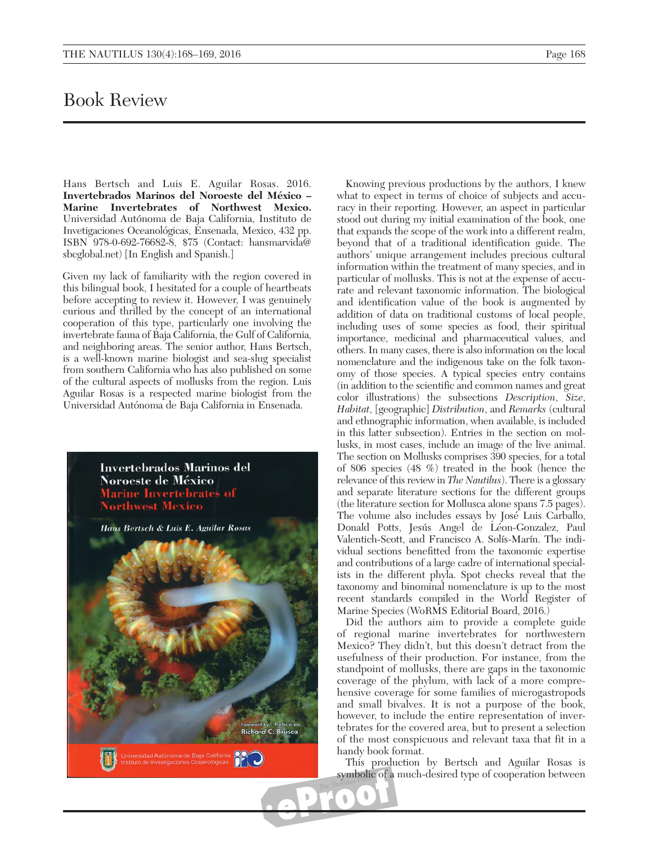## Book Review

Hans Bertsch and Luis E. Aguilar Rosas. 2016. Invertebrados Marinos del Noroeste del México -Marine Invertebrates of Northwest Mexico. Universidad Autónoma de Baja California, Instituto de Invetigaciones Oceanológicas, Ensenada, Mexico, 432 pp. ISBN 978-0-692-76682-8, \$75 (Contact: hansmarvida@ sbcglobal.net) [In English and Spanish.]

Given my lack of familiarity with the region covered in this bilingual book, I hesitated for a couple of heartbeats before accepting to review it. However, I was genuinely curious and thrilled by the concept of an international cooperation of this type, particularly one involving the invertebrate fauna of Baja California, the Gulf of California, and neighboring areas. The senior author, Hans Bertsch, is a well-known marine biologist and sea-slug specialist from southern California who has also published on some of the cultural aspects of mollusks from the region. Luis Aguilar Rosas is a respected marine biologist from the Universidad Autónoma de Baja California in Ensenada.



Knowing previous productions by the authors, I knew what to expect in terms of choice of subjects and accuracy in their reporting. However, an aspect in particular stood out during my initial examination of the book, one that expands the scope of the work into a different realm, beyond that of a traditional identification guide. The authors' unique arrangement includes precious cultural information within the treatment of many species, and in particular of mollusks. This is not at the expense of accurate and relevant taxonomic information. The biological and identification value of the book is augmented by addition of data on traditional customs of local people, including uses of some species as food, their spiritual importance, medicinal and pharmaceutical values, and others. In many cases, there is also information on the local nomenclature and the indigenous take on the folk taxonomy of those species. A typical species entry contains (in addition to the scientific and common names and great color illustrations) the subsections Description, Size, Habitat, [geographic] Distribution, and Remarks (cultural and ethnographic information, when available, is included in this latter subsection). Entries in the section on mollusks, in most cases, include an image of the live animal. The section on Mollusks comprises 390 species, for a total of 806 species (48 %) treated in the book (hence the relevance of this review in The Nautilus). There is a glossary and separate literature sections for the different groups (the literature section for Mollusca alone spans 7.5 pages). The volume also includes essays by José Luis Carballo, Donald Potts, Jesús Angel de Léon-Gonzalez, Paul Valentich-Scott, and Francisco A. Solís-Marín. The individual sections benefitted from the taxonomic expertise and contributions of a large cadre of international specialists in the different phyla. Spot checks reveal that the taxonomy and binominal nomenclature is up to the most

Marine Species (WoRMS Editorial Board, 2016.) Did the authors aim to provide a complete guide of regional marine invertebrates for northwestern Mexico? They didn't, but this doesn't detract from the usefulness of their production. For instance, from the standpoint of mollusks, there are gaps in the taxonomic coverage of the phylum, with lack of a more comprehensive coverage for some families of microgastropods and small bivalves. It is not a purpose of the book, however, to include the entire representation of invertebrates for the covered area, but to present a selection of the most conspicuous and relevant taxa that fit in a handy book format.

recent standards compiled in the World Register of

This production by Bertsch and Aguilar Rosas is symbolic of a much-desired type of cooperation between The Sheridan Press

٥

 $\bullet$